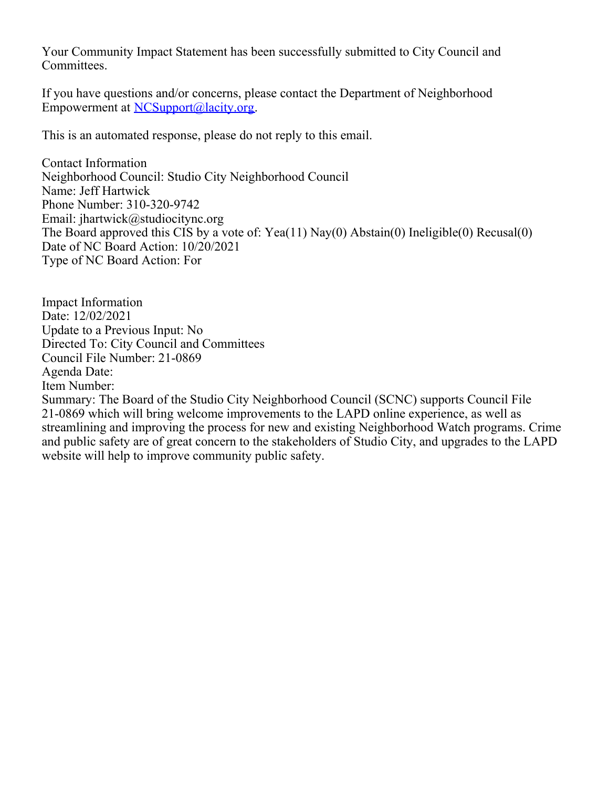Your Community Impact Statement has been successfully submitted to City Council and Committees.

If you have questions and/or concerns, please contact the Department of Neighborhood Empowerment at [NCSupport@lacity.org](mailto:NCSupport@lacity.org).

This is an automated response, please do not reply to this email.

Contact Information Neighborhood Council: Studio City Neighborhood Council Name: Jeff Hartwick Phone Number: 310-320-9742 Email: jhartwick@studiocitync.org The Board approved this CIS by a vote of: Yea(11) Nay(0) Abstain(0) Ineligible(0) Recusal(0) Date of NC Board Action: 10/20/2021 Type of NC Board Action: For

Impact Information Date: 12/02/2021 Update to a Previous Input: No Directed To: City Council and Committees Council File Number: 21-0869 Agenda Date: Item Number: Summary: The Board of the Studio City Neighborhood Council (SCNC) supports Council File 21-0869 which will bring welcome improvements to the LAPD online experience, as well as streamlining and improving the process for new and existing Neighborhood Watch programs. Crime and public safety are of great concern to the stakeholders of Studio City, and upgrades to the LAPD website will help to improve community public safety.